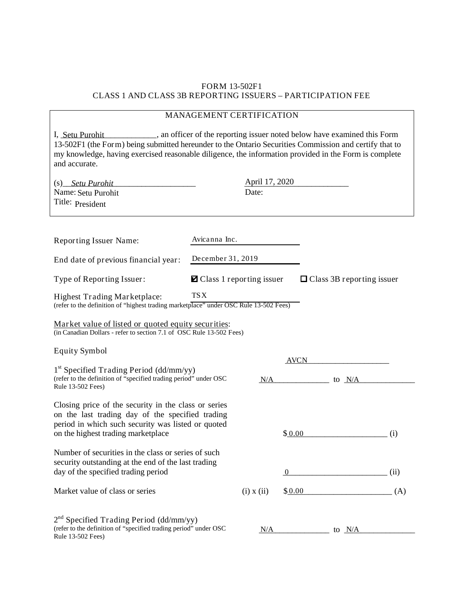## FORM 13-502F1 CLASS 1 AND CLASS 3B REPORTING ISSUERS – PARTICIPATION FEE

## MANAGEMENT CERTIFICATION

I, Setu Purohit \_\_\_\_\_\_\_\_, an officer of the reporting issuer noted below have examined this Form 13-502F1 (the Form) being submitted hereunder to the Ontario Securities Commission and certify that to my knowledge, having exercised reasonable diligence, the information provided in the Form is complete and accurate.

| (s) Setu Purohit<br>Name: Setu Purohit<br>Title: President                                                                                                                                           |                                                           | April 17, 2020<br>Date:        |          |                                  |      |
|------------------------------------------------------------------------------------------------------------------------------------------------------------------------------------------------------|-----------------------------------------------------------|--------------------------------|----------|----------------------------------|------|
|                                                                                                                                                                                                      |                                                           |                                |          |                                  |      |
| Reporting Issuer Name:                                                                                                                                                                               | Avicanna Inc.                                             |                                |          |                                  |      |
| End date of previous financial year:                                                                                                                                                                 | December 31, 2019                                         |                                |          |                                  |      |
| Type of Reporting Issuer:                                                                                                                                                                            | <b><math>\blacksquare</math></b> Class 1 reporting issuer |                                |          | $\Box$ Class 3B reporting issuer |      |
| <b>Highest Trading Marketplace:</b><br>(refer to the definition of "highest trading marketplace" under OSC Rule 13-502 Fees)                                                                         | <b>TSX</b>                                                |                                |          |                                  |      |
| Market value of listed or quoted equity securities:<br>(in Canadian Dollars - refer to section 7.1 of OSC Rule 13-502 Fees)                                                                          |                                                           |                                |          |                                  |      |
| <b>Equity Symbol</b>                                                                                                                                                                                 |                                                           |                                |          |                                  |      |
| $1st$ Specified Trading Period (dd/mm/yy)<br>(refer to the definition of "specified trading period" under OSC<br>Rule 13-502 Fees)                                                                   |                                                           | <b>AVCN</b><br>N/A<br>to $N/A$ |          |                                  |      |
| Closing price of the security in the class or series<br>on the last trading day of the specified trading<br>period in which such security was listed or quoted<br>on the highest trading marketplace |                                                           |                                | \$0.00   |                                  | (i)  |
| Number of securities in the class or series of such<br>security outstanding at the end of the last trading<br>day of the specified trading period                                                    |                                                           |                                | $\theta$ |                                  | (ii) |
| Market value of class or series                                                                                                                                                                      |                                                           | $(i)$ x $(ii)$                 | \$0.00   |                                  | (A)  |
| $2nd$ Specified Trading Period (dd/mm/yy)<br>(refer to the definition of "specified trading period" under OSC<br>Rule 13-502 Fees)                                                                   |                                                           | N/A                            |          | to N/A                           |      |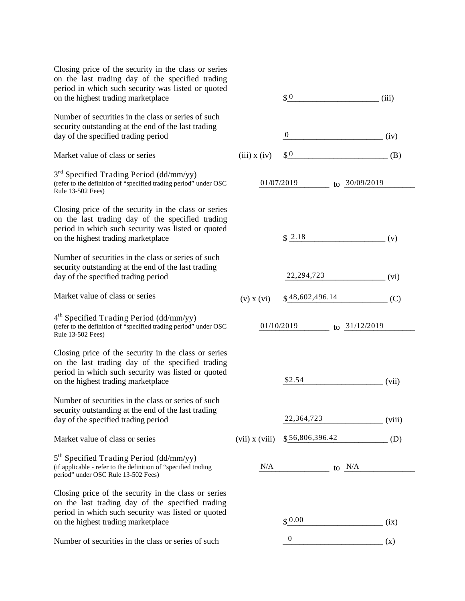| Closing price of the security in the class or series<br>on the last trading day of the specified trading<br>period in which such security was listed or quoted<br>on the highest trading marketplace |                    | \$0                            |               | (iii)                        |
|------------------------------------------------------------------------------------------------------------------------------------------------------------------------------------------------------|--------------------|--------------------------------|---------------|------------------------------|
| Number of securities in the class or series of such<br>security outstanding at the end of the last trading<br>day of the specified trading period                                                    |                    | $\overline{0}$                 |               | (iv)                         |
| Market value of class or series                                                                                                                                                                      | $(iii)$ x $(iv)$   | $$^{0}$                        |               | (B)                          |
| $3rd$ Specified Trading Period (dd/mm/yy)<br>(refer to the definition of "specified trading period" under OSC<br>Rule 13-502 Fees)                                                                   |                    | 01/07/2019                     | to 30/09/2019 |                              |
| Closing price of the security in the class or series<br>on the last trading day of the specified trading<br>period in which such security was listed or quoted<br>on the highest trading marketplace |                    | \$2.18                         |               | (v)                          |
| Number of securities in the class or series of such<br>security outstanding at the end of the last trading<br>day of the specified trading period                                                    |                    | 22, 294, 723                   |               | (vi)                         |
| Market value of class or series                                                                                                                                                                      | $(v)$ x $(vi)$     | \$48,602,496.14                |               | (C)                          |
| 4 <sup>th</sup> Specified Trading Period (dd/mm/yy)<br>(refer to the definition of "specified trading period" under OSC<br>Rule 13-502 Fees)                                                         |                    | 01/10/2019                     | to 31/12/2019 |                              |
| Closing price of the security in the class or series<br>on the last trading day of the specified trading<br>period in which such security was listed or quoted<br>on the highest trading marketplace |                    | \$2.54                         |               | (vii)                        |
| Number of securities in the class or series of such<br>security outstanding at the end of the last trading<br>day of the specified trading period                                                    |                    | 22,364,723                     |               | (viii)                       |
| Market value of class or series                                                                                                                                                                      | $(vii)$ x $(viii)$ | \$56,806,396.42                |               | $\qquad \qquad \textbf{(D)}$ |
| 5 <sup>th</sup> Specified Trading Period (dd/mm/yy)<br>(if applicable - refer to the definition of "specified trading<br>period" under OSC Rule 13-502 Fees)                                         | N/A                | $\frac{N}{A}$ to $\frac{N}{A}$ |               |                              |
| Closing price of the security in the class or series<br>on the last trading day of the specified trading<br>period in which such security was listed or quoted<br>on the highest trading marketplace |                    | $\text{\$}~0.00$               |               | (ix)                         |
| Number of securities in the class or series of such                                                                                                                                                  |                    | $\boldsymbol{0}$               |               | (x)                          |
|                                                                                                                                                                                                      |                    |                                |               |                              |